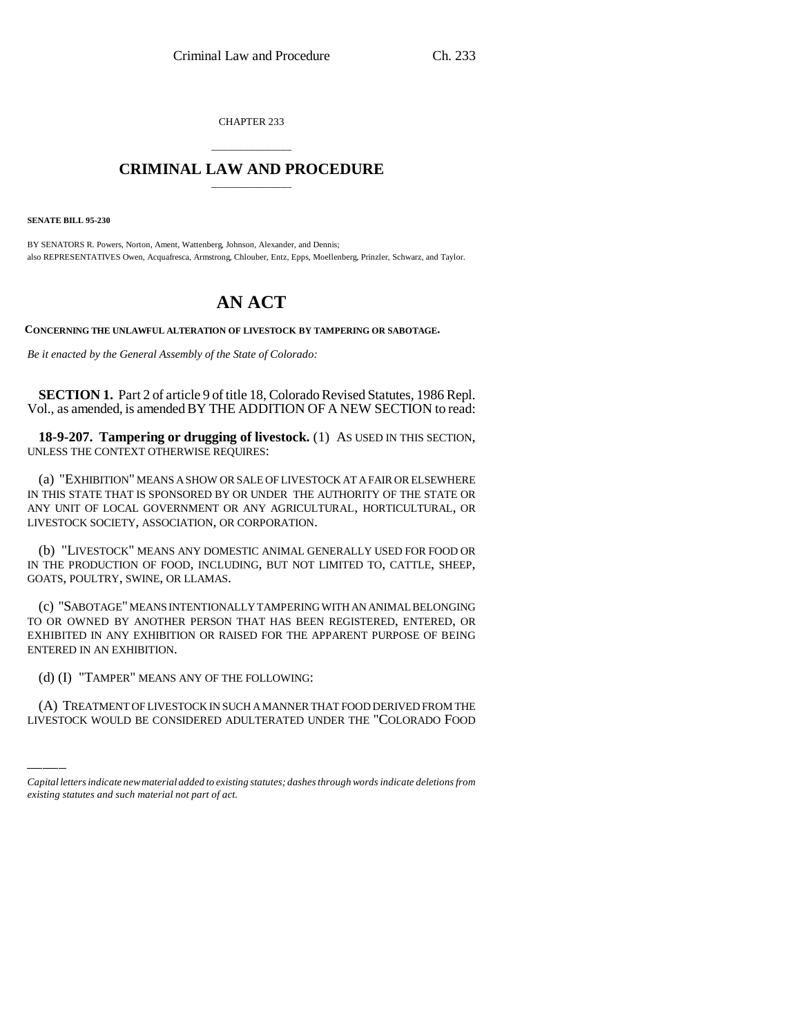CHAPTER 233

## \_\_\_\_\_\_\_\_\_\_\_\_\_\_\_ **CRIMINAL LAW AND PROCEDURE** \_\_\_\_\_\_\_\_\_\_\_\_\_\_\_

**SENATE BILL 95-230**

BY SENATORS R. Powers, Norton, Ament, Wattenberg, Johnson, Alexander, and Dennis; also REPRESENTATIVES Owen, Acquafresca, Armstrong, Chlouber, Entz, Epps, Moellenberg, Prinzler, Schwarz, and Taylor.

## **AN ACT**

**CONCERNING THE UNLAWFUL ALTERATION OF LIVESTOCK BY TAMPERING OR SABOTAGE.**

*Be it enacted by the General Assembly of the State of Colorado:*

**SECTION 1.** Part 2 of article 9 of title 18, Colorado Revised Statutes, 1986 Repl. Vol., as amended, is amended BY THE ADDITION OF A NEW SECTION to read:

**18-9-207. Tampering or drugging of livestock.** (1) AS USED IN THIS SECTION, UNLESS THE CONTEXT OTHERWISE REQUIRES:

(a) "EXHIBITION" MEANS A SHOW OR SALE OF LIVESTOCK AT A FAIR OR ELSEWHERE IN THIS STATE THAT IS SPONSORED BY OR UNDER THE AUTHORITY OF THE STATE OR ANY UNIT OF LOCAL GOVERNMENT OR ANY AGRICULTURAL, HORTICULTURAL, OR LIVESTOCK SOCIETY, ASSOCIATION, OR CORPORATION.

(b) "LIVESTOCK" MEANS ANY DOMESTIC ANIMAL GENERALLY USED FOR FOOD OR IN THE PRODUCTION OF FOOD, INCLUDING, BUT NOT LIMITED TO, CATTLE, SHEEP, GOATS, POULTRY, SWINE, OR LLAMAS.

(c) "SABOTAGE" MEANS INTENTIONALLY TAMPERING WITH AN ANIMAL BELONGING TO OR OWNED BY ANOTHER PERSON THAT HAS BEEN REGISTERED, ENTERED, OR EXHIBITED IN ANY EXHIBITION OR RAISED FOR THE APPARENT PURPOSE OF BEING ENTERED IN AN EXHIBITION.

(d) (I) "TAMPER" MEANS ANY OF THE FOLLOWING:

(A) TREATMENT OF LIVESTOCK IN SUCH A MANNER THAT FOOD DERIVED FROM THE LIVESTOCK WOULD BE CONSIDERED ADULTERATED UNDER THE "COLORADO FOOD

*Capital letters indicate new material added to existing statutes; dashes through words indicate deletions from existing statutes and such material not part of act.*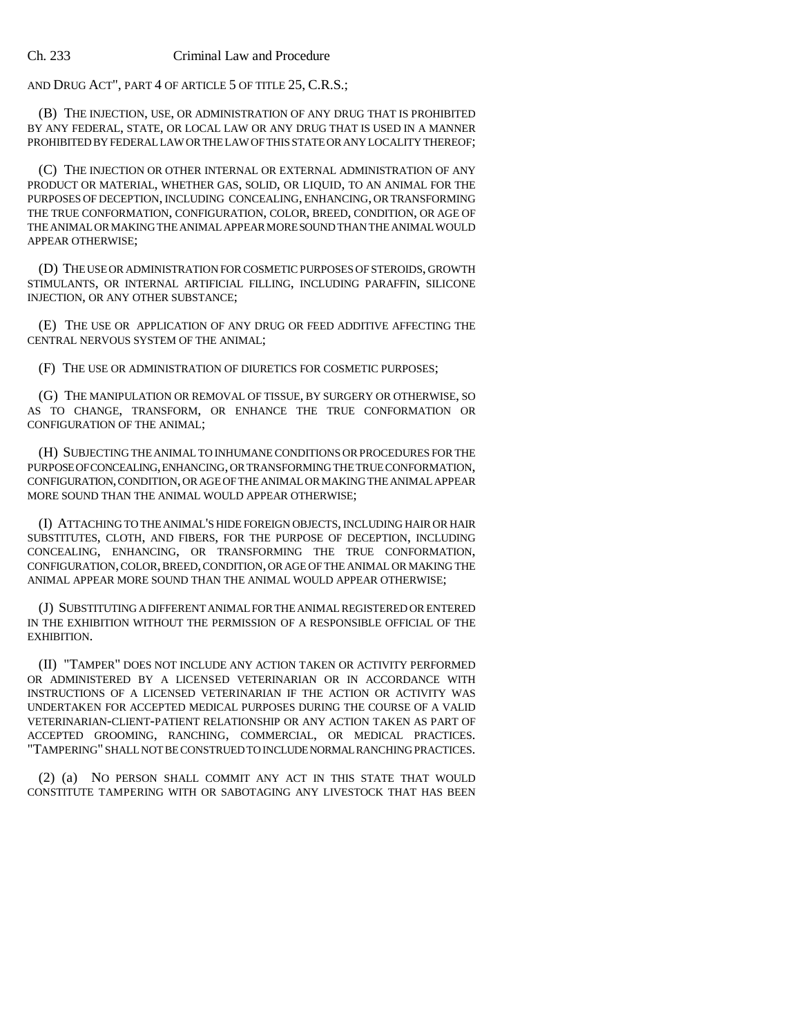AND DRUG ACT", PART 4 OF ARTICLE 5 OF TITLE 25, C.R.S.;

(B) THE INJECTION, USE, OR ADMINISTRATION OF ANY DRUG THAT IS PROHIBITED BY ANY FEDERAL, STATE, OR LOCAL LAW OR ANY DRUG THAT IS USED IN A MANNER PROHIBITED BY FEDERAL LAW OR THE LAW OF THIS STATE OR ANY LOCALITY THEREOF;

(C) THE INJECTION OR OTHER INTERNAL OR EXTERNAL ADMINISTRATION OF ANY PRODUCT OR MATERIAL, WHETHER GAS, SOLID, OR LIQUID, TO AN ANIMAL FOR THE PURPOSES OF DECEPTION, INCLUDING CONCEALING, ENHANCING, OR TRANSFORMING THE TRUE CONFORMATION, CONFIGURATION, COLOR, BREED, CONDITION, OR AGE OF THE ANIMAL OR MAKING THE ANIMAL APPEAR MORE SOUND THAN THE ANIMAL WOULD APPEAR OTHERWISE;

(D) THE USE OR ADMINISTRATION FOR COSMETIC PURPOSES OF STEROIDS, GROWTH STIMULANTS, OR INTERNAL ARTIFICIAL FILLING, INCLUDING PARAFFIN, SILICONE INJECTION, OR ANY OTHER SUBSTANCE;

(E) THE USE OR APPLICATION OF ANY DRUG OR FEED ADDITIVE AFFECTING THE CENTRAL NERVOUS SYSTEM OF THE ANIMAL;

(F) THE USE OR ADMINISTRATION OF DIURETICS FOR COSMETIC PURPOSES;

(G) THE MANIPULATION OR REMOVAL OF TISSUE, BY SURGERY OR OTHERWISE, SO AS TO CHANGE, TRANSFORM, OR ENHANCE THE TRUE CONFORMATION OR CONFIGURATION OF THE ANIMAL;

(H) SUBJECTING THE ANIMAL TO INHUMANE CONDITIONS OR PROCEDURES FOR THE PURPOSE OF CONCEALING, ENHANCING, OR TRANSFORMING THE TRUE CONFORMATION, CONFIGURATION, CONDITION, OR AGE OF THE ANIMAL OR MAKING THE ANIMAL APPEAR MORE SOUND THAN THE ANIMAL WOULD APPEAR OTHERWISE;

(I) ATTACHING TO THE ANIMAL'S HIDE FOREIGN OBJECTS, INCLUDING HAIR OR HAIR SUBSTITUTES, CLOTH, AND FIBERS, FOR THE PURPOSE OF DECEPTION, INCLUDING CONCEALING, ENHANCING, OR TRANSFORMING THE TRUE CONFORMATION, CONFIGURATION, COLOR, BREED, CONDITION, OR AGE OF THE ANIMAL OR MAKING THE ANIMAL APPEAR MORE SOUND THAN THE ANIMAL WOULD APPEAR OTHERWISE;

(J) SUBSTITUTING A DIFFERENT ANIMAL FOR THE ANIMAL REGISTERED OR ENTERED IN THE EXHIBITION WITHOUT THE PERMISSION OF A RESPONSIBLE OFFICIAL OF THE EXHIBITION.

(II) "TAMPER" DOES NOT INCLUDE ANY ACTION TAKEN OR ACTIVITY PERFORMED OR ADMINISTERED BY A LICENSED VETERINARIAN OR IN ACCORDANCE WITH INSTRUCTIONS OF A LICENSED VETERINARIAN IF THE ACTION OR ACTIVITY WAS UNDERTAKEN FOR ACCEPTED MEDICAL PURPOSES DURING THE COURSE OF A VALID VETERINARIAN-CLIENT-PATIENT RELATIONSHIP OR ANY ACTION TAKEN AS PART OF ACCEPTED GROOMING, RANCHING, COMMERCIAL, OR MEDICAL PRACTICES. "TAMPERING" SHALL NOT BE CONSTRUED TO INCLUDE NORMAL RANCHING PRACTICES.

(2) (a) NO PERSON SHALL COMMIT ANY ACT IN THIS STATE THAT WOULD CONSTITUTE TAMPERING WITH OR SABOTAGING ANY LIVESTOCK THAT HAS BEEN